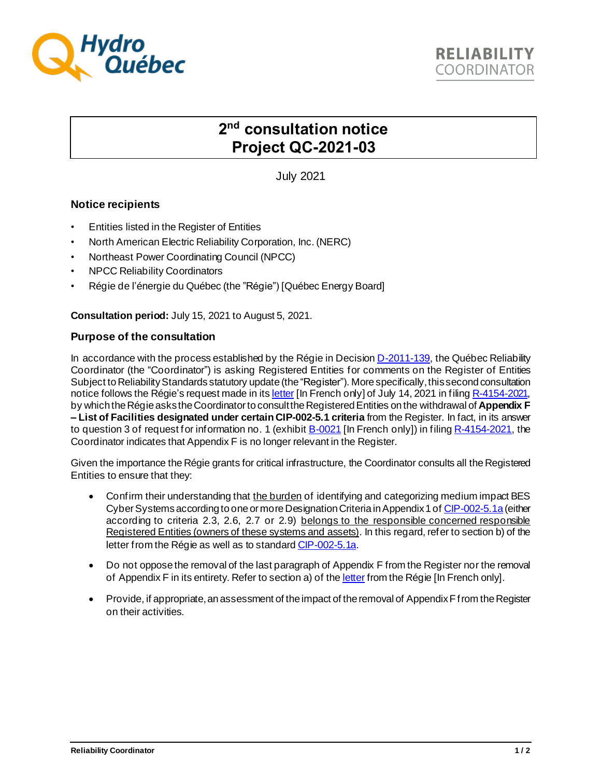

## **2 nd consultation notice Project QC-2021-03**

July 2021

## **Notice recipients**

- Entities listed in the Register of Entities
- North American Electric Reliability Corporation, Inc. (NERC)
- Northeast Power Coordinating Council (NPCC)
- NPCC Reliability Coordinators
- Régie de l'énergie du Québec (the "Régie") [Québec Energy Board]

**Consultation period:** July 15, 2021 to August 5, 2021.

## **Purpose of the consultation**

In accordance with the process established by the Régie in Decisio[n D-2011-139](http://www.regie-energie.qc.ca/audiences/decisions/d-2011-139.pdf), the Québec Reliability Coordinator (the "Coordinator") is asking Registered Entities for comments on the Register of Entities Subject to Reliability Standards statutory update (the "Register"). More specifically, this second consultation notice follows the Régie's request made in it[s letter](http://publicsde.regie-energie.qc.ca/projets/580/DocPrj/R-4154-2021-A-0009-Demande-Dec-2021_07_14.pdf) [In French only] of July 14, 2021 in filin[g R-4154-2021,](http://publicsde.regie-energie.qc.ca/_layouts/publicsite/ProjectPhaseDetail.aspx?ProjectID=580&phase=1&Provenance=A&generate=true) by which the Régie asks the Coordinator to consult the Registered Entities on the withdrawal of **Appendix F – List of Facilities designated under certain CIP-002-5.1 criteria** from the Register. In fact, in its answer to question 3 of request for information no. 1 (exhibi[t B-0021](http://publicsde.regie-energie.qc.ca/projets/580/DocPrj/R-4154-2021-B-0021-Autres-Autre-2021_06_11.pdf) [In French only]) in filin[g R-4154-2021,](http://publicsde.regie-energie.qc.ca/_layouts/publicsite/ProjectPhaseDetail.aspx?ProjectID=580&phase=1&Provenance=A&generate=true) the Coordinator indicates that Appendix F is no longer relevant in the Register.

Given the importance the Régie grants for critical infrastructure, the Coordinator consults all the Registered Entities to ensure that they:

- Confirm their understanding that the burden of identifying and categorizing medium impact BES Cyber Systems according to one or more Designation Criteria in Appendix 1 o[f CIP-002-5.1a](http://www.regie-energie.qc.ca/en/audiences/NormesFiabiliteTransportElectricite/Normes/CIP-002-5.1a-en-2019-03-22.pdf) (either according to criteria 2.3, 2.6, 2.7 or 2.9) belongs to the responsible concerned responsible Registered Entities (owners of these systems and assets). In this regard, refer to section b) of the letter from the Régie as well as to standar[d CIP-002-5.1a.](http://www.regie-energie.qc.ca/en/audiences/NormesFiabiliteTransportElectricite/Normes/CIP-002-5.1a-en-2019-03-22.pdf)
- Do not oppose the removal of the last paragraph of Appendix F from the Register nor the removal of Appendix F in its entirety. Refer to section a) of th[e letter](http://publicsde.regie-energie.qc.ca/projets/580/DocPrj/R-4154-2021-A-0009-Demande-Dec-2021_07_14.pdf) from the Régie [In French only].
- Provide, if appropriate, an assessment of the impact of the removal of Appendix F from the Register on their activities.